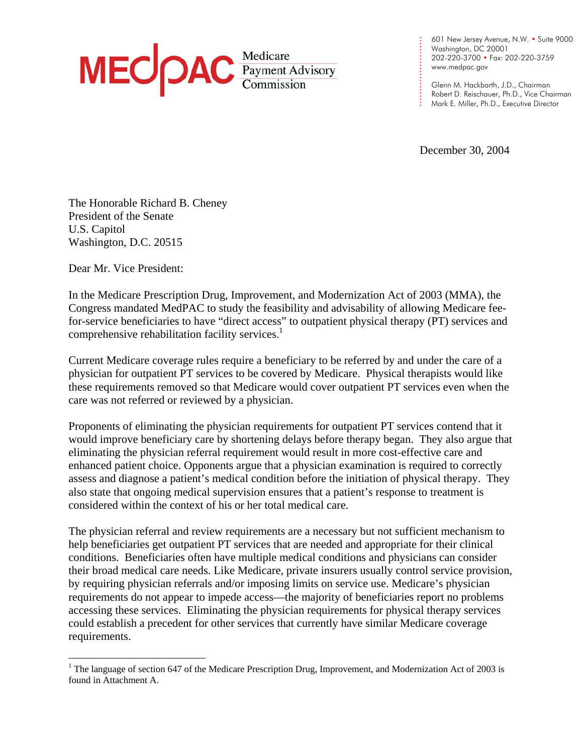

601 New Jersey Avenue, N.W. • Suite 9000 Washington, DC 20001 202-220-3700 • Fax: 202-220-3759 [www.medpac.gov](http://www.medpac.gov)

Glenn M. Hackbarth, J.D., Chairman Robert D. Reischauer, Ph.D., Vice Chairman Mark E. Miller, Ph.D., Executive Director

December 30, 2004

. . . . . . . . . . . . .

. . . . . . . .

The Honorable Richard B. Cheney President of the Senate U.S. Capitol Washington, D.C. 20515

Dear Mr. Vice President:

1

In the Medicare Prescription Drug, Improvement, and Modernization Act of 2003 (MMA), the Congress mandated MedPAC to study the feasibility and advisability of allowing Medicare feefor-service beneficiaries to have "direct access" to outpatient physical therapy (PT) services and comprehensive rehabilitation facility services.<sup>1</sup>

Current Medicare coverage rules require a beneficiary to be referred by and under the care of a physician for outpatient PT services to be covered by Medicare. Physical therapists would like these requirements removed so that Medicare would cover outpatient PT services even when the care was not referred or reviewed by a physician.

Proponents of eliminating the physician requirements for outpatient PT services contend that it would improve beneficiary care by shortening delays before therapy began. They also argue that eliminating the physician referral requirement would result in more cost-effective care and enhanced patient choice. Opponents argue that a physician examination is required to correctly assess and diagnose a patient's medical condition before the initiation of physical therapy. They also state that ongoing medical supervision ensures that a patient's response to treatment is considered within the context of his or her total medical care.

The physician referral and review requirements are a necessary but not sufficient mechanism to help beneficiaries get outpatient PT services that are needed and appropriate for their clinical conditions. Beneficiaries often have multiple medical conditions and physicians can consider their broad medical care needs. Like Medicare, private insurers usually control service provision, by requiring physician referrals and/or imposing limits on service use. Medicare's physician requirements do not appear to impede access—the majority of beneficiaries report no problems accessing these services. Eliminating the physician requirements for physical therapy services could establish a precedent for other services that currently have similar Medicare coverage requirements.

<span id="page-0-0"></span><sup>&</sup>lt;sup>1</sup> The language of section 647 of the Medicare Prescription Drug, Improvement, and Modernization Act of 2003 is found in Attachment A.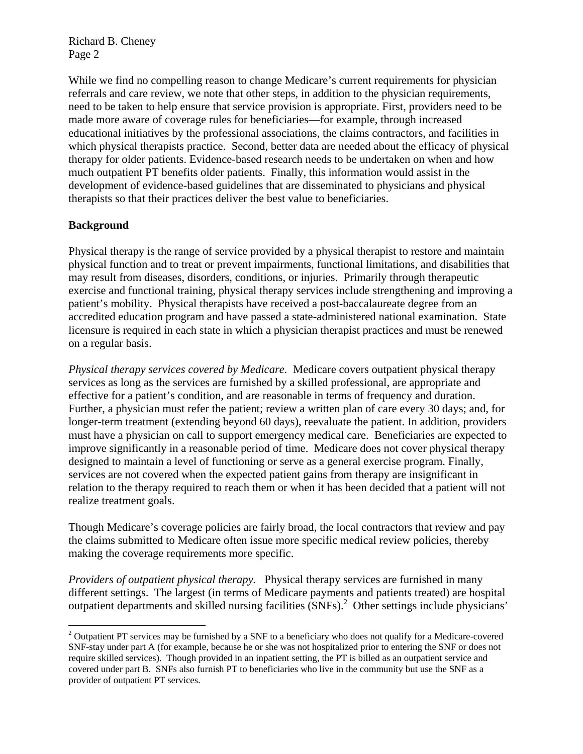While we find no compelling reason to change Medicare's current requirements for physician referrals and care review, we note that other steps, in addition to the physician requirements, need to be taken to help ensure that service provision is appropriate. First, providers need to be made more aware of coverage rules for beneficiaries—for example, through increased educational initiatives by the professional associations, the claims contractors, and facilities in which physical therapists practice. Second, better data are needed about the efficacy of physical therapy for older patients. Evidence-based research needs to be undertaken on when and how much outpatient PT benefits older patients. Finally, this information would assist in the development of evidence-based guidelines that are disseminated to physicians and physical therapists so that their practices deliver the best value to beneficiaries.

## **Background**

1

Physical therapy is the range of service provided by a physical therapist to restore and maintain physical function and to treat or prevent impairments, functional limitations, and disabilities that may result from diseases, disorders, conditions, or injuries. Primarily through therapeutic exercise and functional training, physical therapy services include strengthening and improving a patient's mobility. Physical therapists have received a post-baccalaureate degree from an accredited education program and have passed a state-administered national examination. State licensure is required in each state in which a physician therapist practices and must be renewed on a regular basis.

*Physical therapy services covered by Medicare.* Medicare covers outpatient physical therapy services as long as the services are furnished by a skilled professional, are appropriate and effective for a patient's condition, and are reasonable in terms of frequency and duration. Further, a physician must refer the patient; review a written plan of care every 30 days; and, for longer-term treatment (extending beyond 60 days), reevaluate the patient. In addition, providers must have a physician on call to support emergency medical care. Beneficiaries are expected to improve significantly in a reasonable period of time. Medicare does not cover physical therapy designed to maintain a level of functioning or serve as a general exercise program. Finally, services are not covered when the expected patient gains from therapy are insignificant in relation to the therapy required to reach them or when it has been decided that a patient will not realize treatment goals.

Though Medicare's coverage policies are fairly broad, the local contractors that review and pay the claims submitted to Medicare often issue more specific medical review policies, thereby making the coverage requirements more specific.

*Providers of outpatient physical therapy.* Physical therapy services are furnished in many different settings. The largest (in terms of Medicare payments and patients treated) are hospital outpatient departments and skilled nursing facilities (SNFs).<sup>2</sup> Other settings include physicians'

<span id="page-1-0"></span> $2$  Outpatient PT services may be furnished by a SNF to a beneficiary who does not qualify for a Medicare-covered SNF-stay under part A (for example, because he or she was not hospitalized prior to entering the SNF or does not require skilled services). Though provided in an inpatient setting, the PT is billed as an outpatient service and covered under part B. SNFs also furnish PT to beneficiaries who live in the community but use the SNF as a provider of outpatient PT services.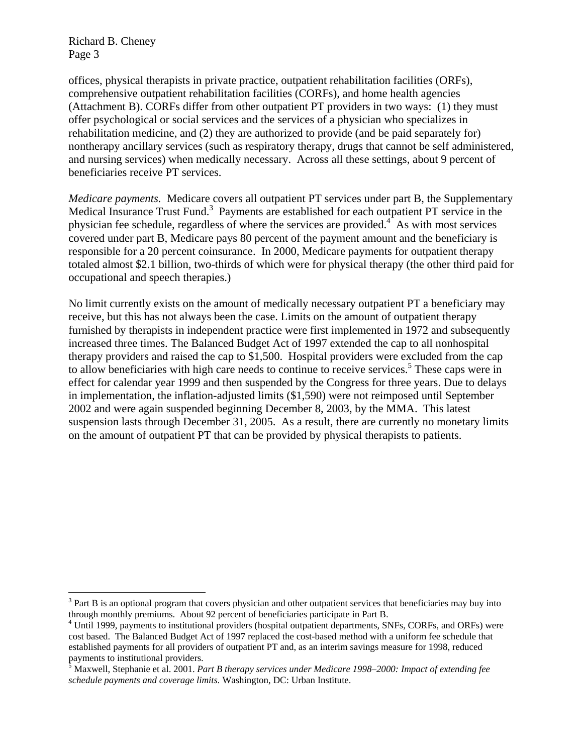$\overline{a}$ 

offices, physical therapists in private practice, outpatient rehabilitation facilities (ORFs), comprehensive outpatient rehabilitation facilities (CORFs), and home health agencies (Attachment B). CORFs differ from other outpatient PT providers in two ways: (1) they must offer psychological or social services and the services of a physician who specializes in rehabilitation medicine, and (2) they are authorized to provide (and be paid separately for) nontherapy ancillary services (such as respiratory therapy, drugs that cannot be self administered, and nursing services) when medically necessary. Across all these settings, about 9 percent of beneficiaries receive PT services.

*Medicare payments.* Medicare covers all outpatient PT services under part B, the Supplementary Medical Insurance Trust Fund.<sup>[3](#page-2-0)</sup> Payments are established for each outpatient PT service in the physician fee schedule, regardless of where the services are provided. $4^{4}$  $4^{4}$  As with most services covered under part B, Medicare pays 80 percent of the payment amount and the beneficiary is responsible for a 20 percent coinsurance. In 2000, Medicare payments for outpatient therapy totaled almost \$2.1 billion, two-thirds of which were for physical therapy (the other third paid for occupational and speech therapies.)

No limit currently exists on the amount of medically necessary outpatient PT a beneficiary may receive, but this has not always been the case. Limits on the amount of outpatient therapy furnished by therapists in independent practice were first implemented in 1972 and subsequently increased three times. The Balanced Budget Act of 1997 extended the cap to all nonhospital therapy providers and raised the cap to \$1,500. Hospital providers were excluded from the cap to allow beneficiaries with high care needs to continue to receive services.<sup>[5](#page-2-2)</sup> These caps were in effect for calendar year 1999 and then suspended by the Congress for three years. Due to delays in implementation, the inflation-adjusted limits (\$1,590) were not reimposed until September 2002 and were again suspended beginning December 8, 2003, by the MMA. This latest suspension lasts through December 31, 2005. As a result, there are currently no monetary limits on the amount of outpatient PT that can be provided by physical therapists to patients.

<span id="page-2-0"></span> $3$  Part B is an optional program that covers physician and other outpatient services that beneficiaries may buy into through monthly premiums. About 92 percent of beneficiaries participate in Part B.

<span id="page-2-1"></span><sup>&</sup>lt;sup>4</sup> Until 1999, payments to institutional providers (hospital outpatient departments, SNFs, CORFs, and ORFs) were cost based. The Balanced Budget Act of 1997 replaced the cost-based method with a uniform fee schedule that established payments for all providers of outpatient PT and, as an interim savings measure for 1998, reduced

<span id="page-2-2"></span>payments to institutional providers. 5 Maxwell, Stephanie et al. 2001. *Part B therapy services under Medicare 1998–2000: Impact of extending fee schedule payments and coverage limits.* Washington, DC: Urban Institute.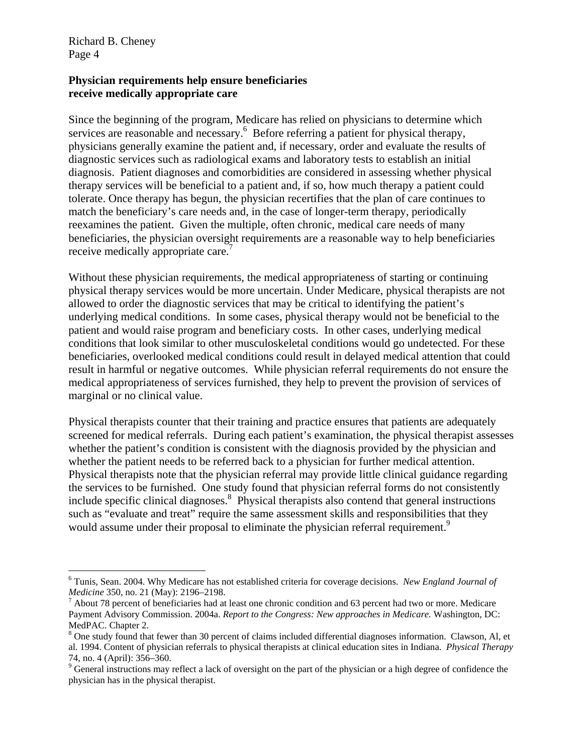1

#### **Physician requirements help ensure beneficiaries receive medically appropriate care**

Since the beginning of the program, Medicare has relied on physicians to determine which services are reasonable and necessary.<sup>[6](#page-3-0)</sup> Before referring a patient for physical therapy, physicians generally examine the patient and, if necessary, order and evaluate the results of diagnostic services such as radiological exams and laboratory tests to establish an initial diagnosis. Patient diagnoses and comorbidities are considered in assessing whether physical therapy services will be beneficial to a patient and, if so, how much therapy a patient could tolerate. Once therapy has begun, the physician recertifies that the plan of care continues to match the beneficiary's care needs and, in the case of longer-term therapy, periodically reexamines the patient. Given the multiple, often chronic, medical care needs of many beneficiaries, the physician oversight requirements are a reasonable way to help beneficiaries receive medically appropriate care.<sup>[7](#page-3-1)</sup>

Without these physician requirements, the medical appropriateness of starting or continuing physical therapy services would be more uncertain. Under Medicare, physical therapists are not allowed to order the diagnostic services that may be critical to identifying the patient's underlying medical conditions. In some cases, physical therapy would not be beneficial to the patient and would raise program and beneficiary costs. In other cases, underlying medical conditions that look similar to other musculoskeletal conditions would go undetected. For these beneficiaries, overlooked medical conditions could result in delayed medical attention that could result in harmful or negative outcomes. While physician referral requirements do not ensure the medical appropriateness of services furnished, they help to prevent the provision of services of marginal or no clinical value.

Physical therapists counter that their training and practice ensures that patients are adequately screened for medical referrals. During each patient's examination, the physical therapist assesses whether the patient's condition is consistent with the diagnosis provided by the physician and whether the patient needs to be referred back to a physician for further medical attention. Physical therapists note that the physician referral may provide little clinical guidance regarding the services to be furnished. One study found that physician referral forms do not consistently include specific clinical diagnoses.<sup>[8](#page-3-2)</sup> Physical therapists also contend that general instructions such as "evaluate and treat" require the same assessment skills and responsibilities that they would assume under their proposal to eliminate the physician referral requirement.<sup>[9](#page-3-3)</sup>

<span id="page-3-0"></span><sup>6</sup> Tunis, Sean. 2004. Why Medicare has not established criteria for coverage decisions. *New England Journal of Medicine* 350, no. 21 (May): 2196*–*2198. <sup>7</sup>

<span id="page-3-1"></span> $^7$  About 78 percent of beneficiaries had at least one chronic condition and 63 percent had two or more. Medicare Payment Advisory Commission. 2004a. *Report to the Congress: New approaches in Medicare.* Washington, DC: MedPAC. Chapter 2.

<span id="page-3-2"></span>One study found that fewer than 30 percent of claims included differential diagnoses information. Clawson, Al, et al. 1994. Content of physician referrals to physical therapists at clinical education sites in Indiana. *Physical Therapy*  74, no. 4 (April): 356*–*360. 9

<span id="page-3-3"></span><sup>&</sup>lt;sup>9</sup> General instructions may reflect a lack of oversight on the part of the physician or a high degree of confidence the physician has in the physical therapist.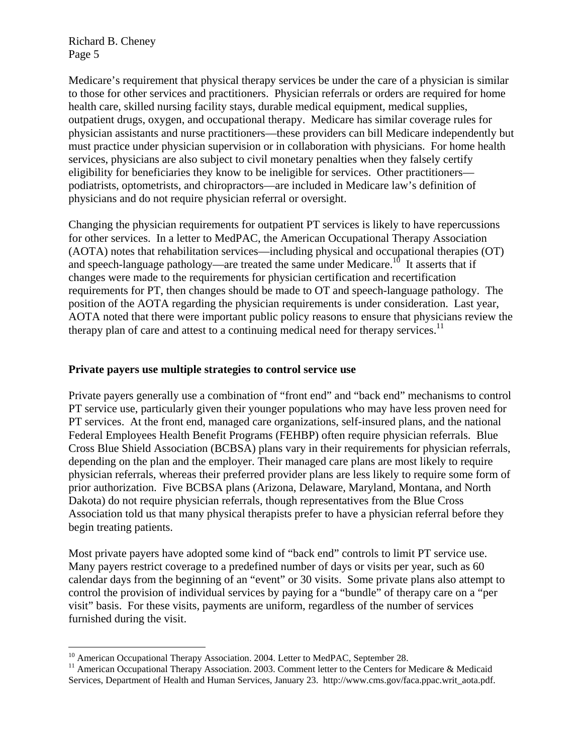$\overline{a}$ 

Medicare's requirement that physical therapy services be under the care of a physician is similar to those for other services and practitioners. Physician referrals or orders are required for home health care, skilled nursing facility stays, durable medical equipment, medical supplies, outpatient drugs, oxygen, and occupational therapy. Medicare has similar coverage rules for physician assistants and nurse practitioners—these providers can bill Medicare independently but must practice under physician supervision or in collaboration with physicians. For home health services, physicians are also subject to civil monetary penalties when they falsely certify eligibility for beneficiaries they know to be ineligible for services. Other practitioners podiatrists, optometrists, and chiropractors—are included in Medicare law's definition of physicians and do not require physician referral or oversight.

Changing the physician requirements for outpatient PT services is likely to have repercussions for other services. In a letter to MedPAC, the American Occupational Therapy Association (AOTA) notes that rehabilitation services—including physical and occupational therapies (OT) and speech-language pathology—are treated the same under Medicare.<sup>10</sup> It asserts that if changes were made to the requirements for physician certification and recertification requirements for PT, then changes should be made to OT and speech-language pathology. The position of the AOTA regarding the physician requirements is under consideration. Last year, AOTA noted that there were important public policy reasons to ensure that physicians review the therapy plan of care and attest to a continuing medical need for therapy services.<sup>[11](#page-4-1)</sup>

#### **Private payers use multiple strategies to control service use**

Private payers generally use a combination of "front end" and "back end" mechanisms to control PT service use, particularly given their younger populations who may have less proven need for PT services. At the front end, managed care organizations, self-insured plans, and the national Federal Employees Health Benefit Programs (FEHBP) often require physician referrals. Blue Cross Blue Shield Association (BCBSA) plans vary in their requirements for physician referrals, depending on the plan and the employer. Their managed care plans are most likely to require physician referrals, whereas their preferred provider plans are less likely to require some form of prior authorization. Five BCBSA plans (Arizona, Delaware, Maryland, Montana, and North Dakota) do not require physician referrals, though representatives from the Blue Cross Association told us that many physical therapists prefer to have a physician referral before they begin treating patients.

Most private payers have adopted some kind of "back end" controls to limit PT service use. Many payers restrict coverage to a predefined number of days or visits per year, such as 60 calendar days from the beginning of an "event" or 30 visits. Some private plans also attempt to control the provision of individual services by paying for a "bundle" of therapy care on a "per visit" basis. For these visits, payments are uniform, regardless of the number of services furnished during the visit.

<span id="page-4-0"></span><sup>&</sup>lt;sup>10</sup> American Occupational Therapy Association. 2004. Letter to MedPAC, September 28.

<span id="page-4-1"></span><sup>&</sup>lt;sup>11</sup> American Occupational Therapy Association. 2003. Comment letter to the Centers for Medicare & Medicaid Services, Department of Health and Human Services, January 23. http://www.cms.gov/faca.ppac.writ\_aota.pdf.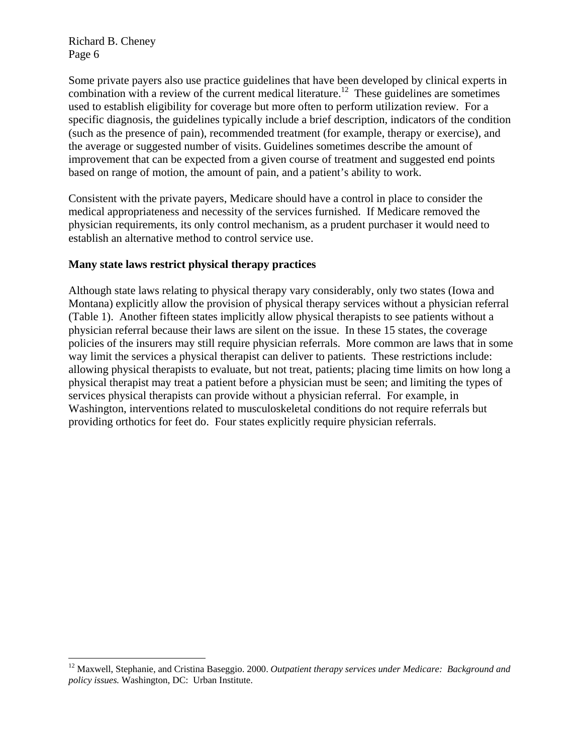$\overline{a}$ 

Some private payers also use practice guidelines that have been developed by clinical experts in combination with a review of the current medical literature.<sup>12</sup> These guidelines are sometimes used to establish eligibility for coverage but more often to perform utilization review. For a specific diagnosis, the guidelines typically include a brief description, indicators of the condition (such as the presence of pain), recommended treatment (for example, therapy or exercise), and the average or suggested number of visits. Guidelines sometimes describe the amount of improvement that can be expected from a given course of treatment and suggested end points based on range of motion, the amount of pain, and a patient's ability to work.

Consistent with the private payers, Medicare should have a control in place to consider the medical appropriateness and necessity of the services furnished. If Medicare removed the physician requirements, its only control mechanism, as a prudent purchaser it would need to establish an alternative method to control service use.

#### **Many state laws restrict physical therapy practices**

Although state laws relating to physical therapy vary considerably, only two states (Iowa and Montana) explicitly allow the provision of physical therapy services without a physician referral (Table 1). Another fifteen states implicitly allow physical therapists to see patients without a physician referral because their laws are silent on the issue. In these 15 states, the coverage policies of the insurers may still require physician referrals. More common are laws that in some way limit the services a physical therapist can deliver to patients. These restrictions include: allowing physical therapists to evaluate, but not treat, patients; placing time limits on how long a physical therapist may treat a patient before a physician must be seen; and limiting the types of services physical therapists can provide without a physician referral. For example, in Washington, interventions related to musculoskeletal conditions do not require referrals but providing orthotics for feet do. Four states explicitly require physician referrals.

<span id="page-5-0"></span><sup>12</sup> Maxwell, Stephanie, and Cristina Baseggio. 2000. *Outpatient therapy services under Medicare: Background and policy issues.* Washington, DC: Urban Institute.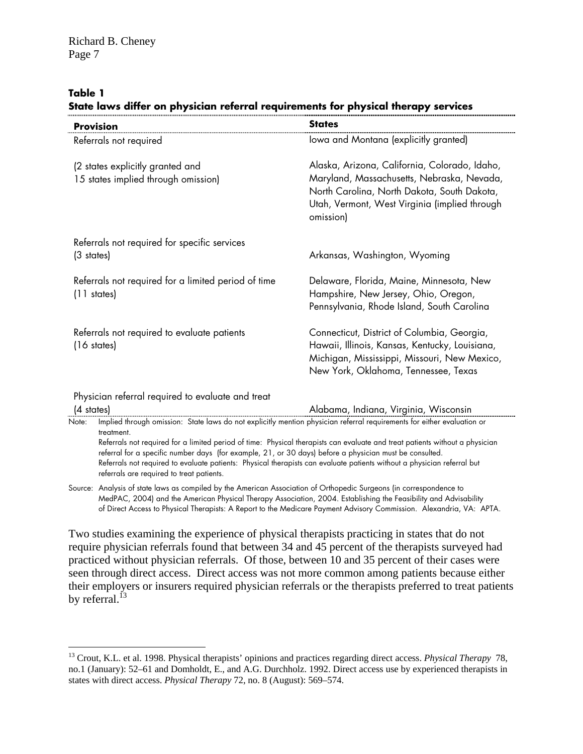#### **Table 1**

1

|  |  | State laws differ on physician referral requirements for physical therapy services |  |  |
|--|--|------------------------------------------------------------------------------------|--|--|
|  |  |                                                                                    |  |  |

| <b>Provision</b>                                                                                                  | <b>States</b>                                                                                                                                                                                                                                                                                                                                                      |  |  |  |  |  |  |
|-------------------------------------------------------------------------------------------------------------------|--------------------------------------------------------------------------------------------------------------------------------------------------------------------------------------------------------------------------------------------------------------------------------------------------------------------------------------------------------------------|--|--|--|--|--|--|
| Referrals not required                                                                                            | lowa and Montana (explicitly granted)                                                                                                                                                                                                                                                                                                                              |  |  |  |  |  |  |
| (2 states explicitly granted and<br>15 states implied through omission)                                           | Alaska, Arizona, California, Colorado, Idaho,<br>Maryland, Massachusetts, Nebraska, Nevada,<br>North Carolina, North Dakota, South Dakota,<br>Utah, Vermont, West Virginia (implied through<br>omission)                                                                                                                                                           |  |  |  |  |  |  |
| Referrals not required for specific services<br>(3 states)                                                        | Arkansas, Washington, Wyoming                                                                                                                                                                                                                                                                                                                                      |  |  |  |  |  |  |
| Referrals not required for a limited period of time<br>$(11$ states)                                              | Delaware, Florida, Maine, Minnesota, New<br>Hampshire, New Jersey, Ohio, Oregon,<br>Pennsylvania, Rhode Island, South Carolina                                                                                                                                                                                                                                     |  |  |  |  |  |  |
| Referrals not required to evaluate patients<br>$(16 \text{ states})$                                              | Connecticut, District of Columbia, Georgia,<br>Hawaii, Illinois, Kansas, Kentucky, Louisiana,<br>Michigan, Mississippi, Missouri, New Mexico,<br>New York, Oklahoma, Tennessee, Texas                                                                                                                                                                              |  |  |  |  |  |  |
| Physician referral required to evaluate and treat<br>$(4 \text{ states})$                                         | Alabama, Indiana, Virginia, Wisconsin                                                                                                                                                                                                                                                                                                                              |  |  |  |  |  |  |
| Note:<br>treatment.<br>referrals are required to treat patients.                                                  | Referrals not required for a limited period of time: Physical therapists can evaluate and treat patients without a physician<br>referral for a specific number days (for example, 21, or 30 days) before a physician must be consulted.<br>Referrals not required to evaluate patients: Physical therapists can evaluate patients without a physician referral but |  |  |  |  |  |  |
| . Anglice of state barriere organization that American Association of Outlogoalic Cropsons tip popular contractor |                                                                                                                                                                                                                                                                                                                                                                    |  |  |  |  |  |  |

Source: Analysis of state laws as compiled by the American Association of Orthopedic Surgeons (in correspondence to MedPAC, 2004) and the American Physical Therapy Association, 2004. Establishing the Feasibility and Advisability of Direct Access to Physical Therapists: A Report to the Medicare Payment Advisory Commission. Alexandria, VA: APTA.

Two studies examining the experience of physical therapists practicing in states that do not require physician referrals found that between 34 and 45 percent of the therapists surveyed had practiced without physician referrals. Of those, between 10 and 35 percent of their cases were seen through direct access. Direct access was not more common among patients because either their employers or insurers required physician referrals or the therapists preferred to treat patients by referral.<sup> $13$ </sup>

<span id="page-6-0"></span><sup>13</sup> Crout, K.L. et al. 1998. Physical therapists' opinions and practices regarding direct access. *Physical Therapy* 78, no.1 (January): 52*–*61 and Domholdt, E., and A.G. Durchholz. 1992. Direct access use by experienced therapists in states with direct access. *Physical Therapy* 72, no. 8 (August): 569*–*574.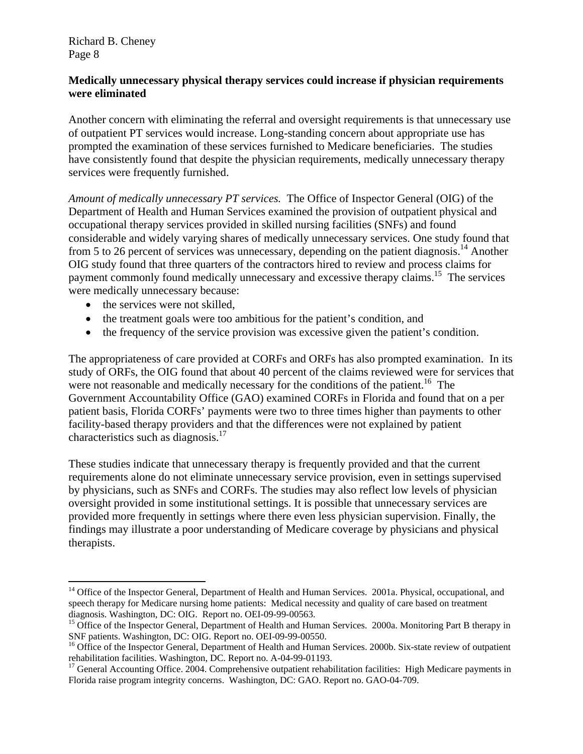## **Medically unnecessary physical therapy services could increase if physician requirements were eliminated**

Another concern with eliminating the referral and oversight requirements is that unnecessary use of outpatient PT services would increase. Long-standing concern about appropriate use has prompted the examination of these services furnished to Medicare beneficiaries. The studies have consistently found that despite the physician requirements, medically unnecessary therapy services were frequently furnished.

*Amount of medically unnecessary PT services.* The Office of Inspector General (OIG) of the Department of Health and Human Services examined the provision of outpatient physical and occupational therapy services provided in skilled nursing facilities (SNFs) and found considerable and widely varying shares of medically unnecessary services. One study found that from 5 to 26 percent of services was unnecessary, depending on the patient diagnosis.<sup>14</sup> Another OIG study found that three quarters of the contractors hired to review and process claims for payment commonly found medically unnecessary and excessive therapy claims.<sup>15</sup> The services were medically unnecessary because:

• the services were not skilled.

 $\overline{a}$ 

- the treatment goals were too ambitious for the patient's condition, and
- the frequency of the service provision was excessive given the patient's condition.

The appropriateness of care provided at CORFs and ORFs has also prompted examination. In its study of ORFs, the OIG found that about 40 percent of the claims reviewed were for services that were not reasonable and medically necessary for the conditions of the patient.<sup>16</sup> The Government Accountability Office (GAO) examined CORFs in Florida and found that on a per patient basis, Florida CORFs' payments were two to three times higher than payments to other facility-based therapy providers and that the differences were not explained by patient characteristics such as diagnosis.<sup>17</sup>

These studies indicate that unnecessary therapy is frequently provided and that the current requirements alone do not eliminate unnecessary service provision, even in settings supervised by physicians, such as SNFs and CORFs. The studies may also reflect low levels of physician oversight provided in some institutional settings. It is possible that unnecessary services are provided more frequently in settings where there even less physician supervision. Finally, the findings may illustrate a poor understanding of Medicare coverage by physicians and physical therapists.

<span id="page-7-0"></span><sup>&</sup>lt;sup>14</sup> Office of the Inspector General, Department of Health and Human Services. 2001a. Physical, occupational, and speech therapy for Medicare nursing home patients: Medical necessity and quality of care based on treatment diagnosis. Washington, DC: OIG. Report no. OEI-09-99-00563.

<span id="page-7-1"></span><sup>&</sup>lt;sup>15</sup> Office of the Inspector General, Department of Health and Human Services. 2000a. Monitoring Part B therapy in SNF patients. Washington, DC: OIG. Report no. OEI-09-99-00550.

<span id="page-7-2"></span><sup>&</sup>lt;sup>16</sup> Office of the Inspector General, Department of Health and Human Services. 2000b. Six-state review of outpatient rehabilitation facilities. Washington, DC. Report no. A-04-99-01193.

<span id="page-7-3"></span><sup>&</sup>lt;sup>17</sup> General Accounting Office. 2004. Comprehensive outpatient rehabilitation facilities: High Medicare payments in Florida raise program integrity concerns. Washington, DC: GAO. Report no. GAO-04-709.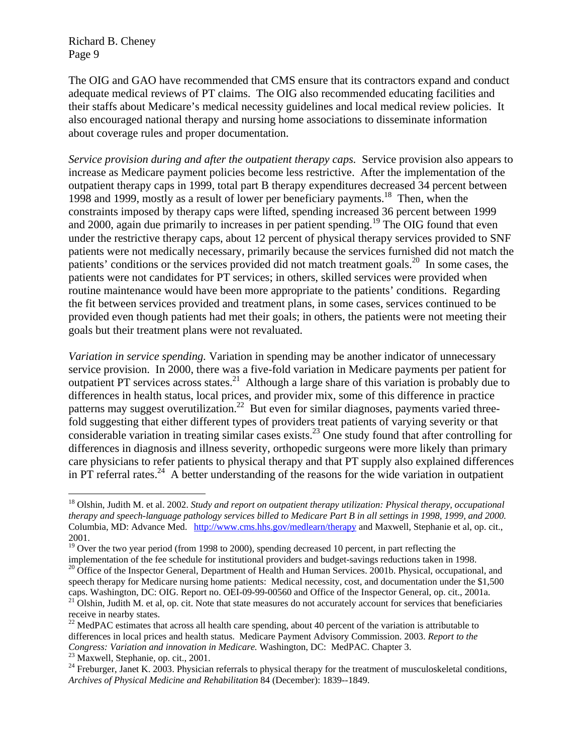The OIG and GAO have recommended that CMS ensure that its contractors expand and conduct adequate medical reviews of PT claims. The OIG also recommended educating facilities and their staffs about Medicare's medical necessity guidelines and local medical review policies. It also encouraged national therapy and nursing home associations to disseminate information about coverage rules and proper documentation.

*Service provision during and after the outpatient therapy caps.* Service provision also appears to increase as Medicare payment policies become less restrictive. After the implementation of the outpatient therapy caps in 1999, total part B therapy expenditures decreased 34 percent between 1998 and 1999, mostly as a result of lower per beneficiary payments.<sup>18</sup> Then, when the constraints imposed by therapy caps were lifted, spending increased 36 percent between 1999 and 2000, again due primarily to increases in per patient spending.<sup>19</sup> The OIG found that even under the restrictive therapy caps, about 12 percent of physical therapy services provided to SNF patients were not medically necessary, primarily because the services furnished did not match the patients' conditions or the services provided did not match treatment goals.<sup>20</sup> In some cases, the patients were not candidates for PT services; in others, skilled services were provided when routine maintenance would have been more appropriate to the patients' conditions. Regarding the fit between services provided and treatment plans, in some cases, services continued to be provided even though patients had met their goals; in others, the patients were not meeting their goals but their treatment plans were not revaluated.

*Variation in service spending.* Variation in spending may be another indicator of unnecessary service provision. In 2000, there was a five-fold variation in Medicare payments per patient for outpatient PT services across states.<sup>21</sup> Although a large share of this variation is probably due to differences in health status, local prices, and provider mix, some of this difference in practice patterns may suggest overutilization.<sup>22</sup> But even for similar diagnoses, payments varied threefold suggesting that either different types of providers treat patients of varying severity or that considerable variation in treating similar cases exists.[23 O](#page-8-5)ne study found that after controlling for differences in diagnosis and illness severity, orthopedic surgeons were more likely than primary care physicians to refer patients to physical therapy and that PT supply also explained differences in PT referral rates.<sup>24</sup> A better understanding of the reasons for the wide variation in outpatient

 $\overline{a}$ 

<span id="page-8-0"></span><sup>18</sup> Olshin, Judith M. et al. 2002. *Study and report on outpatient therapy utilization: Physical therapy, occupational therapy and speech-language pathology services billed to Medicare Part B in all settings in 1998, 1999, and 2000.* Columbia, MD: Advance Med. <http://www.cms.hhs.gov/medlearn/therapy> and Maxwell, Stephanie et al, op. cit., 2001.

<span id="page-8-1"></span><sup>&</sup>lt;sup>19</sup> Over the two year period (from 1998 to 2000), spending decreased 10 percent, in part reflecting the

<span id="page-8-2"></span>implementation of the fee schedule for institutional providers and budget-savings reductions taken in 1998.<br><sup>20</sup> Office of the Inspector General, Department of Health and Human Services. 2001b. Physical, occupational, and speech therapy for Medicare nursing home patients: Medical necessity, cost, and documentation under the \$1,500 caps. Washington, DC: OIG. Report no. OEI-09-99-00560 and Office of the Inspector General, op. cit., 2001a.  $21$  Olshin, Judith M. et al, op. cit. Note that state measures do not accurately account for services that beneficiaries receive in nearby states.

<span id="page-8-4"></span><span id="page-8-3"></span><sup>&</sup>lt;sup>22</sup> MedPAC estimates that across all health care spending, about 40 percent of the variation is attributable to differences in local prices and health status. Medicare Payment Advisory Commission. 2003. *Report to the Congress: Variation and innovation in Medicare.* Washington, DC: MedPAC. Chapter 3. <sup>23</sup> Maxwell, Stephanie, op. cit., 2001.

<span id="page-8-5"></span>

<span id="page-8-6"></span> $24$  Freburger, Janet K. 2003. Physician referrals to physical therapy for the treatment of musculoskeletal conditions, *Archives of Physical Medicine and Rehabilitation* 84 (December): 1839--1849.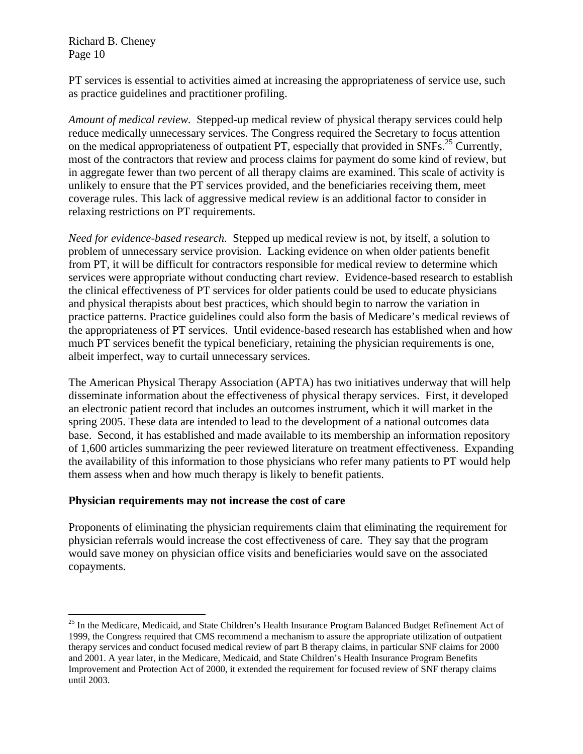1

PT services is essential to activities aimed at increasing the appropriateness of service use, such as practice guidelines and practitioner profiling.

*Amount of medical review.* Stepped-up medical review of physical therapy services could help reduce medically unnecessary services. The Congress required the Secretary to focus attention on the medical appropriateness of outpatient PT, especially that provided in  $SNFs$ <sup>25</sup> Currently, most of the contractors that review and process claims for payment do some kind of review, but in aggregate fewer than two percent of all therapy claims are examined. This scale of activity is unlikely to ensure that the PT services provided, and the beneficiaries receiving them, meet coverage rules. This lack of aggressive medical review is an additional factor to consider in relaxing restrictions on PT requirements.

*Need for evidence-based research.* Stepped up medical review is not, by itself, a solution to problem of unnecessary service provision. Lacking evidence on when older patients benefit from PT, it will be difficult for contractors responsible for medical review to determine which services were appropriate without conducting chart review. Evidence-based research to establish the clinical effectiveness of PT services for older patients could be used to educate physicians and physical therapists about best practices, which should begin to narrow the variation in practice patterns. Practice guidelines could also form the basis of Medicare's medical reviews of the appropriateness of PT services. Until evidence-based research has established when and how much PT services benefit the typical beneficiary, retaining the physician requirements is one, albeit imperfect, way to curtail unnecessary services.

The American Physical Therapy Association (APTA) has two initiatives underway that will help disseminate information about the effectiveness of physical therapy services. First, it developed an electronic patient record that includes an outcomes instrument, which it will market in the spring 2005. These data are intended to lead to the development of a national outcomes data base. Second, it has established and made available to its membership an information repository of 1,600 articles summarizing the peer reviewed literature on treatment effectiveness. Expanding the availability of this information to those physicians who refer many patients to PT would help them assess when and how much therapy is likely to benefit patients.

#### **Physician requirements may not increase the cost of care**

Proponents of eliminating the physician requirements claim that eliminating the requirement for physician referrals would increase the cost effectiveness of care. They say that the program would save money on physician office visits and beneficiaries would save on the associated copayments.

<span id="page-9-0"></span><sup>&</sup>lt;sup>25</sup> In the Medicare, Medicaid, and State Children's Health Insurance Program Balanced Budget Refinement Act of 1999, the Congress required that CMS recommend a mechanism to assure the appropriate utilization of outpatient therapy services and conduct focused medical review of part B therapy claims, in particular SNF claims for 2000 and 2001. A year later, in the Medicare, Medicaid, and State Children's Health Insurance Program Benefits Improvement and Protection Act of 2000, it extended the requirement for focused review of SNF therapy claims until 2003.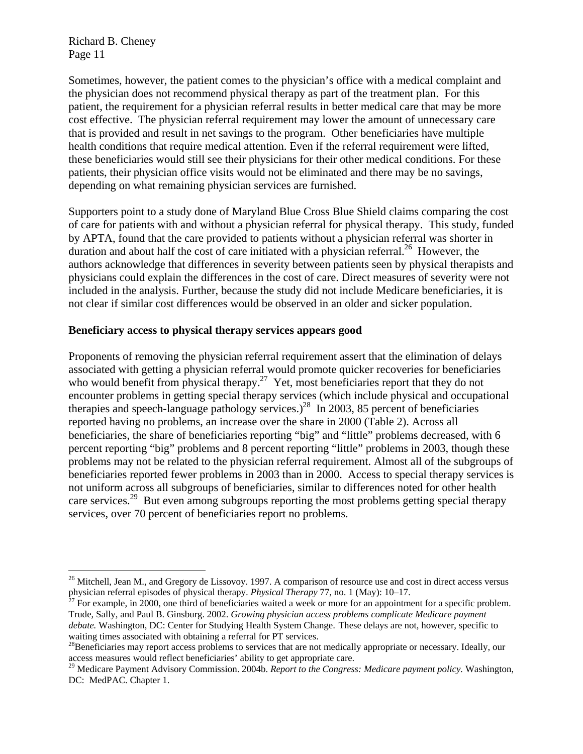1

Sometimes, however, the patient comes to the physician's office with a medical complaint and the physician does not recommend physical therapy as part of the treatment plan. For this patient, the requirement for a physician referral results in better medical care that may be more cost effective. The physician referral requirement may lower the amount of unnecessary care that is provided and result in net savings to the program. Other beneficiaries have multiple health conditions that require medical attention. Even if the referral requirement were lifted, these beneficiaries would still see their physicians for their other medical conditions. For these patients, their physician office visits would not be eliminated and there may be no savings, depending on what remaining physician services are furnished.

Supporters point to a study done of Maryland Blue Cross Blue Shield claims comparing the cost of care for patients with and without a physician referral for physical therapy. This study, funded by APTA, found that the care provided to patients without a physician referral was shorter in duration and about half the cost of care initiated with a physician referral.<sup>26</sup> However, the authors acknowledge that differences in severity between patients seen by physical therapists and physicians could explain the differences in the cost of care. Direct measures of severity were not included in the analysis. Further, because the study did not include Medicare beneficiaries, it is not clear if similar cost differences would be observed in an older and sicker population.

## **Beneficiary access to physical therapy services appears good**

Proponents of removing the physician referral requirement assert that the elimination of delays associated with getting a physician referral would promote quicker recoveries for beneficiaries who would benefit from physical therapy.<sup>27</sup> Yet, most beneficiaries report that they do not encounter problems in getting special therapy services (which include physical and occupational therapies and speech-language pathology services.)<sup>28</sup> In 2003, 85 percent of beneficiaries reported having no problems, an increase over the share in 2000 (Table 2). Across all beneficiaries, the share of beneficiaries reporting "big" and "little" problems decreased, with 6 percent reporting "big" problems and 8 percent reporting "little" problems in 2003, though these problems may not be related to the physician referral requirement. Almost all of the subgroups of beneficiaries reported fewer problems in 2003 than in 2000. Access to special therapy services is not uniform across all subgroups of beneficiaries, similar to differences noted for other health care services.<sup>29</sup> But even among subgroups reporting the most problems getting special therapy services, over 70 percent of beneficiaries report no problems.

<span id="page-10-0"></span> $26$  Mitchell, Jean M., and Gregory de Lissovoy. 1997. A comparison of resource use and cost in direct access versus physician referral episodes of physical therapy. *Physical Therapy* 77, no. 1 (May): 10–17.<br><sup>27</sup> For example, in 2000, one third of beneficiaries waited a week or more for an appointment for a specific problem.

<span id="page-10-1"></span>Trude, Sally, and Paul B. Ginsburg. 2002. *Growing physician access problems complicate Medicare payment debate.* Washington, DC: Center for Studying Health System Change. These delays are not, however, specific to

<span id="page-10-2"></span>waiting times associated with obtaining a referral for PT services.<br><sup>28</sup>Beneficiaries may report access problems to services that are not medically appropriate or necessary. Ideally, our access measures would reflect beneficiaries' ability to get appropriate care.

<span id="page-10-3"></span><sup>29</sup> Medicare Payment Advisory Commission. 2004b. *Report to the Congress: Medicare payment policy.* Washington, DC: MedPAC. Chapter 1.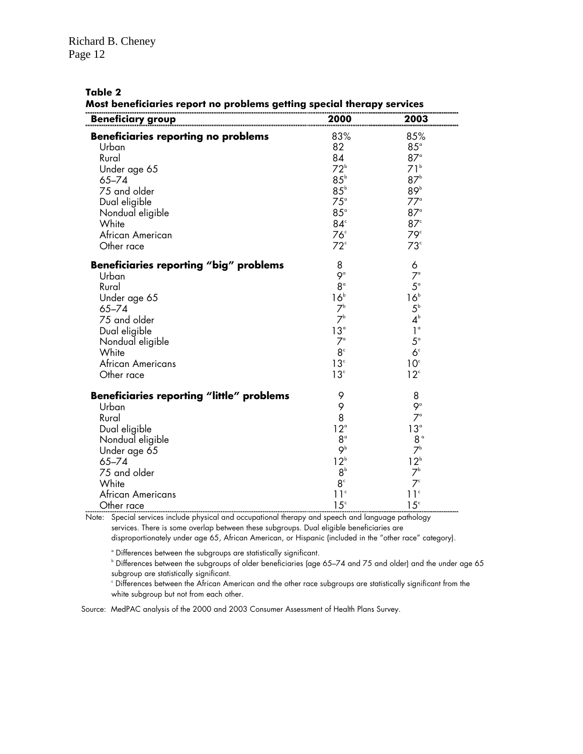#### **Table 2**

**Most beneficiaries report no problems getting special therapy services** 

| <u>Beneficiary group</u>                         | 2000            | 2003            |
|--------------------------------------------------|-----------------|-----------------|
| <b>Beneficiaries reporting no problems</b>       | 83%             | 85%             |
| Urban                                            | 82              | $85^\circ$      |
| Rural                                            | 84              | $87^\circ$      |
| Under age 65                                     | $72^{\circ}$    | 71 <sup>b</sup> |
| $65 - 74$                                        | $85^{\circ}$    | 87 <sup>b</sup> |
| 75 and older                                     | $85^{\circ}$    | 89 <sup>b</sup> |
| Dual eligible                                    | $75^\circ$      | $77^\circ$      |
| Nondual eligible                                 | $85^\circ$      | $87^\circ$      |
| White                                            | $84^\circ$      | $87^\circ$      |
| African American                                 | 76 <sup>c</sup> | 79 <sup>c</sup> |
| Other race                                       | $72^{\circ}$    | 73 <sup>c</sup> |
| <b>Beneficiaries reporting "big" problems</b>    | 8               | 6               |
| Urban                                            | $9^{\circ}$     | $7^{\circ}$     |
| Rural                                            | $8^{\circ}$     | $5^{\circ}$     |
| Under age 65                                     | 16 <sup>b</sup> | $16^{\rm b}$    |
| $65 - 74$                                        | 7 <sup>b</sup>  | $5^{\circ}$     |
| 75 and older                                     | 7 <sup>b</sup>  | $4^{\circ}$     |
| Dual eligible                                    | 13 <sup>°</sup> | $1^{\circ}$     |
| Nondual eligible                                 | $7^{\circ}$     | $5^{\circ}$     |
| White                                            | 8 <sup>c</sup>  | 6 <sup>c</sup>  |
| African Americans                                | 13 <sup>c</sup> | 10 <sup>c</sup> |
| Other race                                       | 13 <sup>c</sup> | 12 <sup>c</sup> |
| <b>Beneficiaries reporting "little" problems</b> | 9               | 8               |
| Urban                                            | 9               | $9^{\circ}$     |
| Rural                                            | 8               | $7^{\circ}$     |
| Dual eligible                                    | $12^{\circ}$    | 13°             |
| Nondual eligible                                 | $8^{\circ}$     | 8 <sup>a</sup>  |
| Under age 65                                     | 9 <sup>b</sup>  | 7 <sup>b</sup>  |
| $65 - 74$                                        | $12^b$          | $12^{\circ}$    |
| 75 and older                                     | 8 <sup>b</sup>  | $7^{\circ}$     |
| White                                            | 8 <sup>c</sup>  | $7^{\circ}$     |
| African Americans                                | 11 <sup>c</sup> | 11 <sup>c</sup> |
| Other race                                       | 15 <sup>c</sup> | 15 <sup>c</sup> |

Note: Special services include physical and occupational therapy and speech and language pathology

 services. There is some overlap between these subgroups. Dual eligible beneficiaries are disproportionately under age 65, African American, or Hispanic (included in the "other race" category).

 $^{\circ}$  Differences between the subgroups are statistically significant.<br> $^{\circ}$  Differences between the subgroups of older beneficiaries (age 65–74 and 75 and older) and the under age 65 subgroup are statistically significant.

 $\degree$  Differences between the African American and the other race subgroups are statistically significant from the white subgroup but not from each other.

Source: MedPAC analysis of the 2000 and 2003 Consumer Assessment of Health Plans Survey.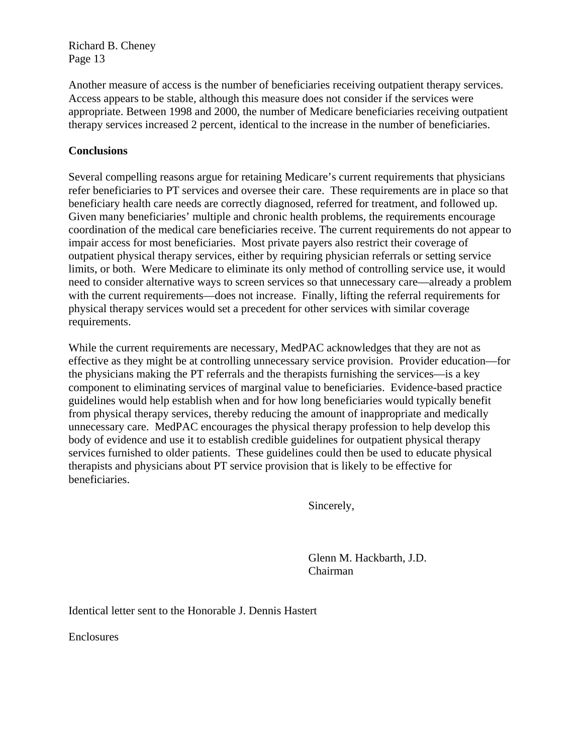Another measure of access is the number of beneficiaries receiving outpatient therapy services. Access appears to be stable, although this measure does not consider if the services were appropriate. Between 1998 and 2000, the number of Medicare beneficiaries receiving outpatient therapy services increased 2 percent, identical to the increase in the number of beneficiaries.

# **Conclusions**

Several compelling reasons argue for retaining Medicare's current requirements that physicians refer beneficiaries to PT services and oversee their care. These requirements are in place so that beneficiary health care needs are correctly diagnosed, referred for treatment, and followed up. Given many beneficiaries' multiple and chronic health problems, the requirements encourage coordination of the medical care beneficiaries receive. The current requirements do not appear to impair access for most beneficiaries. Most private payers also restrict their coverage of outpatient physical therapy services, either by requiring physician referrals or setting service limits, or both. Were Medicare to eliminate its only method of controlling service use, it would need to consider alternative ways to screen services so that unnecessary care—already a problem with the current requirements—does not increase. Finally, lifting the referral requirements for physical therapy services would set a precedent for other services with similar coverage requirements.

While the current requirements are necessary, MedPAC acknowledges that they are not as effective as they might be at controlling unnecessary service provision. Provider education—for the physicians making the PT referrals and the therapists furnishing the services—is a key component to eliminating services of marginal value to beneficiaries. Evidence-based practice guidelines would help establish when and for how long beneficiaries would typically benefit from physical therapy services, thereby reducing the amount of inappropriate and medically unnecessary care. MedPAC encourages the physical therapy profession to help develop this body of evidence and use it to establish credible guidelines for outpatient physical therapy services furnished to older patients. These guidelines could then be used to educate physical therapists and physicians about PT service provision that is likely to be effective for beneficiaries.

Sincerely,

Glenn M. Hackbarth, J.D. Chairman

Identical letter sent to the Honorable J. Dennis Hastert

Enclosures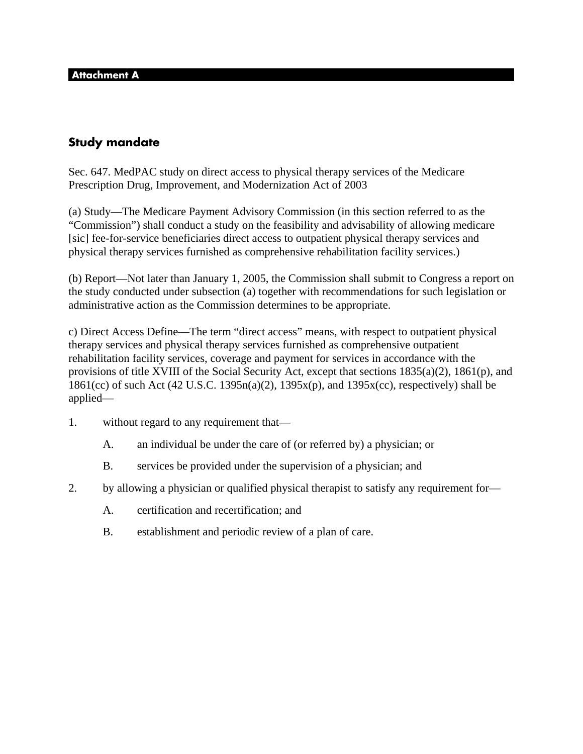# **Study mandate**

Sec. 647. MedPAC study on direct access to physical therapy services of the Medicare Prescription Drug, Improvement, and Modernization Act of 2003

(a) Study—The Medicare Payment Advisory Commission (in this section referred to as the "Commission") shall conduct a study on the feasibility and advisability of allowing medicare [sic] fee-for-service beneficiaries direct access to outpatient physical therapy services and physical therapy services furnished as comprehensive rehabilitation facility services.)

(b) Report—Not later than January 1, 2005, the Commission shall submit to Congress a report on the study conducted under subsection (a) together with recommendations for such legislation or administrative action as the Commission determines to be appropriate.

c) Direct Access Define—The term "direct access" means, with respect to outpatient physical therapy services and physical therapy services furnished as comprehensive outpatient rehabilitation facility services, coverage and payment for services in accordance with the provisions of title XVIII of the Social Security Act, except that sections 1835(a)(2), 1861(p), and 1861(cc) of such Act (42 U.S.C. 1395n(a)(2), 1395x(p), and 1395x(cc), respectively) shall be applied—

- 1. without regard to any requirement that—
	- A. an individual be under the care of (or referred by) a physician; or
	- B. services be provided under the supervision of a physician; and
- 2. by allowing a physician or qualified physical therapist to satisfy any requirement for—
	- A. certification and recertification; and
	- B. establishment and periodic review of a plan of care.